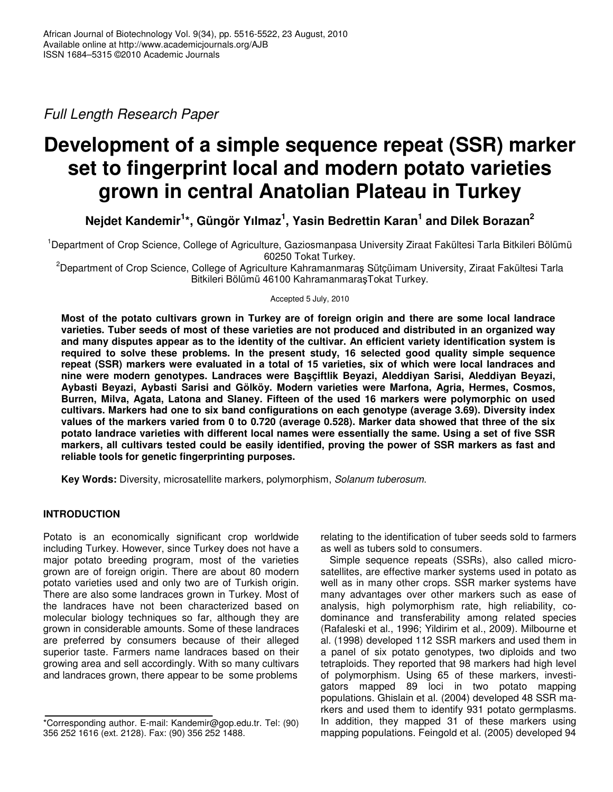*Full Length Research Paper*

# **Development of a simple sequence repeat (SSR) marker set to fingerprint local and modern potato varieties grown in central Anatolian Plateau in Turkey**

**Nejdet Kandemir 1 \*, Güngör Yılmaz 1 , Yasin Bedrettin Karan 1 and Dilek Borazan 2**

<sup>1</sup>Department of Crop Science, College of Agriculture, Gaziosmanpasa University Ziraat Fakültesi Tarla Bitkileri Bölümü 60250 Tokat Turkey.

<sup>2</sup>Department of Crop Science, College of Agriculture Kahramanmaras Sütçüimam University, Ziraat Fakültesi Tarla Bitkileri Bölümü 46100 KahramanmarasTokat Turkey.

Accepted 5 July, 2010

Most of the potato cultivars grown in Turkey are of foreign origin and there are some local landrace **varieties. Tuber seeds of most of these varieties are not produced and distributed in an organized way** and many disputes appear as to the identity of the cultivar. An efficient variety identification system is **required to solve these problems. In the present study, 16 selected good quality simple sequence** repeat (SSR) markers were evaluated in a total of 15 varieties, six of which were local landraces and **nine were modern genotypes. Landraces were Baçiftlik Beyazi, Aleddiyan Sarisi, Aleddiyan Beyazi, Aybasti Beyazi, Aybasti Sarisi and Gölköy. Modern varieties were Marfona, Agria, Hermes, Cosmos, Burren, Milva, Agata, Latona and Slaney. Fifteen of the used 16 markers were polymorphic on used cultivars. Markers had one to six band configurations on each genotype (average 3.69). Diversity index** values of the markers varied from 0 to 0.720 (average 0.528). Marker data showed that three of the six **potato landrace varieties with different local names were essentially the same. Using a set of five SSR markers, all cultivars tested could be easily identified, proving the power of SSR markers as fast and reliable tools for genetic fingerprinting purposes.**

**Key Words:** Diversity, microsatellite markers, polymorphism, *Solanum tuberosum*.

## **INTRODUCTION**

Potato is an economically significant crop worldwide including Turkey. However, since Turkey does not have a major potato breeding program, most of the varieties grown are of foreign origin. There are about 80 modern potato varieties used and only two are of Turkish origin. There are also some landraces grown in Turkey. Most of the landraces have not been characterized based on molecular biology techniques so far, although they are grown in considerable amounts. Some of these landraces are preferred by consumers because of their alleged superior taste. Farmers name landraces based on their growing area and sell accordingly. With so many cultivars and landraces grown, there appear to be some problems

relating to the identification of tuber seeds sold to farmers as well as tubers sold to consumers.

Simple sequence repeats (SSRs), also called microsatellites, are effective marker systems used in potato as well as in many other crops. SSR marker systems have many advantages over other markers such as ease of analysis, high polymorphism rate, high reliability, codominance and transferability among related species (Rafaleski et al., 1996; Yildirim et al., 2009). Milbourne et al. (1998) developed 112 SSR markers and used them in a panel of six potato genotypes, two diploids and two tetraploids. They reported that 98 markers had high level of polymorphism. Using 65 of these markers, investigators mapped 89 loci in two potato mapping populations. Ghislain et al. (2004) developed 48 SSR markers and used them to identify 931 potato germplasms. In addition, they mapped 31 of these markers using mapping populations. Feingold et al. (2005) developed 94

<sup>\*</sup>Corresponding author. E-mail: Kandemir@gop.edu.tr. Tel: (90) 356 252 1616 (ext. 2128). Fax: (90) 356 252 1488.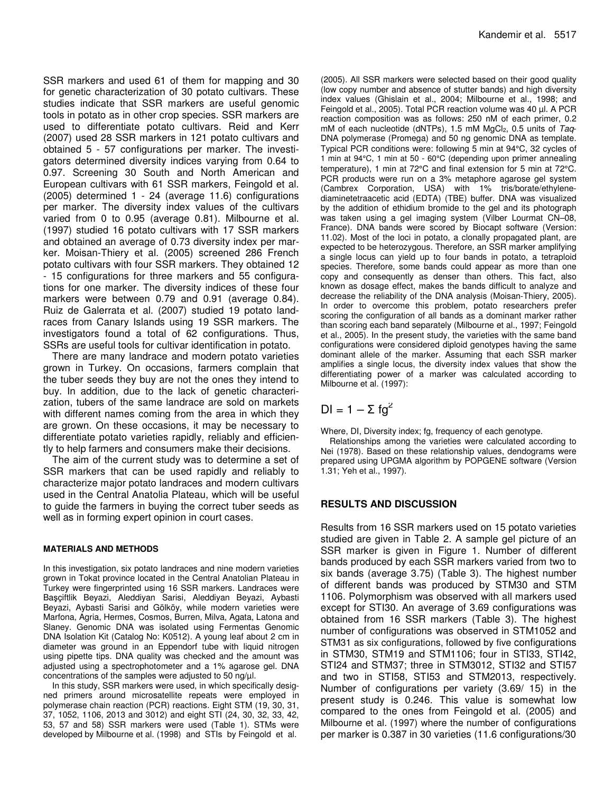SSR markers and used 61 of them for mapping and 30 for genetic characterization of 30 potato cultivars. These studies indicate that SSR markers are useful genomic tools in potato as in other crop species. SSR markers are used to differentiate potato cultivars. Reid and Kerr (2007) used 28 SSR markers in 121 potato cultivars and obtained 5 - 57 configurations per marker. The investigators determined diversity indices varying from 0.64 to 0.97. Screening 30 South and North American and European cultivars with 61 SSR markers, Feingold et al. (2005) determined 1 - 24 (average 11.6) configurations per marker. The diversity index values of the cultivars varied from 0 to 0.95 (average 0.81). Milbourne et al. (1997) studied 16 potato cultivars with 17 SSR markers and obtained an average of 0.73 diversity index per marker. Moisan-Thiery et al. (2005) screened 286 French potato cultivars with four SSR markers. They obtained 12 - 15 configurations for three markers and 55 configurations for one marker. The diversity indices of these four markers were between 0.79 and 0.91 (average 0.84). Ruiz de Galerrata et al. (2007) studied 19 potato landraces from Canary Islands using 19 SSR markers. The investigators found a total of 62 configurations. Thus, SSRs are useful tools for cultivar identification in potato.

There are many landrace and modern potato varieties grown in Turkey. On occasions, farmers complain that the tuber seeds they buy are not the ones they intend to buy. In addition, due to the lack of genetic characterization, tubers of the same landrace are sold on markets with different names coming from the area in which they are grown. On these occasions, it may be necessary to differentiate potato varieties rapidly, reliably and efficiently to help farmers and consumers make their decisions.

The aim of the current study was to determine a set of SSR markers that can be used rapidly and reliably to characterize major potato landraces and modern cultivars used in the Central Anatolia Plateau, which will be useful to guide the farmers in buying the correct tuber seeds as well as in forming expert opinion in court cases.

#### **MATERIALS AND METHODS**

In this investigation, six potato landraces and nine modern varieties grown in Tokat province located in the Central Anatolian Plateau in Turkey were fingerprinted using 16 SSR markers. Landraces were Baçiftlik Beyazi, Aleddiyan Sarisi, Aleddiyan Beyazi, Aybasti Beyazi, Aybasti Sarisi and Gölköy, while modern varieties were Marfona, Agria, Hermes, Cosmos, Burren, Milva, Agata, Latona and Slaney. Genomic DNA was isolated using Fermentas Genomic DNA Isolation Kit (Catalog No: K0512). A young leaf about 2 cm in diameter was ground in an Eppendorf tube with liquid nitrogen using pipette tips. DNA quality was checked and the amount was adjusted using a spectrophotometer and a 1% agarose gel. DNA concentrations of the samples were adjusted to 50 ng/ $\mu$ l.

In this study, SSR markers were used, in which specifically designed primers around microsatellite repeats were employed in polymerase chain reaction (PCR) reactions. Eight STM (19, 30, 31, 37, 1052, 1106, 2013 and 3012) and eight STI (24, 30, 32, 33, 42, 53, 57 and 58) SSR markers were used (Table 1). STMs were developed by Milbourne et al. (1998) and STIs by Feingold et al.

(2005). All SSR markers were selected based on their good quality (low copy number and absence of stutter bands) and high diversity index values (Ghislain et al., 2004; Milbourne et al., 1998; and Feingold et al., 2005). Total PCR reaction volume was 40 µl. A PCR reaction composition was as follows: 250 nM of each primer, 0.2 mM of each nucleotide (dNTPs), 1.5 mM MgCl<sub>2</sub>, 0.5 units of *Taq*-DNA polymerase (Promega) and 50 ng genomic DNA as template. Typical PCR conditions were: following 5 min at 94°C, 32 cycles of 1 min at 94°C, 1 min at 50 - 60°C (depending upon primer annealing temperature), 1 min at 72°C and final extension for 5 min at 72°C. PCR products were run on a 3% metaphore agarose gel system (Cambrex Corporation, USA) with 1% tris/borate/ethylenediaminetetraacetic acid (EDTA) (TBE) buffer. DNA was visualized by the addition of ethidium bromide to the gel and its photograph was taken using a gel imaging system (Vilber Lourmat CN–08, France). DNA bands were scored by Biocapt software (Version: 11.02). Most of the loci in potato, a clonally propagated plant, are expected to be heterozygous. Therefore, an SSR marker amplifying a single locus can yield up to four bands in potato, a tetraploid species. Therefore, some bands could appear as more than one copy and consequently as denser than others. This fact, also known as dosage effect, makes the bands difficult to analyze and decrease the reliability of the DNA analysis (Moisan-Thiery, 2005). In order to overcome this problem, potato researchers prefer scoring the configuration of all bands as a dominant marker rather than scoring each band separately (Milbourne et al., 1997; Feingold et al., 2005). In the present study, the varieties with the same band configurations were considered diploid genotypes having the same dominant allele of the marker. Assuming that each SSR marker amplifies a single locus, the diversity index values that show the differentiating power of a marker was calculated according to Milbourne et al. (1997):

$$
DI = 1 - \Sigma fg^2
$$

Where, DI, Diversity index; fg, frequency of each genotype.

Relationships among the varieties were calculated according to Nei (1978). Based on these relationship values, dendograms were prepared using UPGMA algorithm by POPGENE software (Version 1.31; Yeh et al., 1997).

#### **RESULTS AND DISCUSSION**

Results from 16 SSR markers used on 15 potato varieties studied are given in Table 2. A sample gel picture of an SSR marker is given in Figure 1. Number of different bands produced by each SSR markers varied from two to six bands (average 3.75) (Table 3). The highest number of different bands was produced by STM30 and STM 1106. Polymorphism was observed with all markers used except for STI30. An average of 3.69 configurations was obtained from 16 SSR markers (Table 3). The highest number of configurations was observed in STM1052 and STM31 as six configurations, followed by five configurations in STM30, STM19 and STM1106; four in STI33, STI42, STI24 and STM37; three in STM3012, STI32 and STI57 and two in STI58, STI53 and STM2013, respectively. Number of configurations per variety (3.69/ 15) in the present study is 0.246. This value is somewhat low compared to the ones from Feingold et al. (2005) and Milbourne et al. (1997) where the number of configurations per marker is 0.387 in 30 varieties (11.6 configurations/30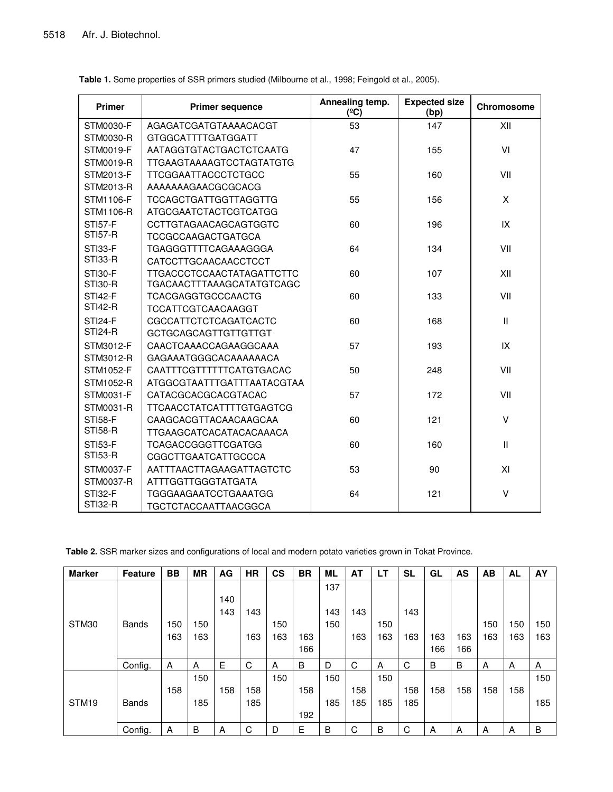| <b>Primer</b>    | <b>Primer sequence</b>           | Annealing temp.<br>$(^{\circ}C)$ | <b>Expected size</b><br>(bp) | <b>Chromosome</b> |  |
|------------------|----------------------------------|----------------------------------|------------------------------|-------------------|--|
| STM0030-F        | AGAGATCGATGTAAAACACGT            | 53                               | 147                          | XII               |  |
| STM0030-R        | <b>GTGGCATTTTGATGGATT</b>        |                                  |                              |                   |  |
| STM0019-F        | AATAGGTGTACTGACTCTCAATG          | 47                               | 155                          | VI                |  |
| <b>STM0019-R</b> | <b>TTGAAGTAAAAGTCCTAGTATGTG</b>  |                                  |                              |                   |  |
| STM2013-F        | <b>TTCGGAATTACCCTCTGCC</b>       | 55                               | 160                          | VII               |  |
| STM2013-R        | AAAAAAAGAACGCGCACG               |                                  |                              |                   |  |
| STM1106-F        | <b>TCCAGCTGATTGGTTAGGTTG</b>     | 55                               | 156                          | X                 |  |
| STM1106-R        | ATGCGAATCTACTCGTCATGG            |                                  |                              |                   |  |
| <b>STI57-F</b>   | <b>CCTTGTAGAACAGCAGTGGTC</b>     | 60                               | 196                          | IX                |  |
| <b>STI57-R</b>   | <b>TCCGCCAAGACTGATGCA</b>        |                                  |                              |                   |  |
| <b>STI33-F</b>   | TGAGGGTTTTCAGAAAGGGA             | 64                               | 134                          | VII               |  |
| STI33-R          | CATCCTTGCAACAACCTCCT             |                                  |                              |                   |  |
| <b>STI30-F</b>   | <b>TTGACCCTCCAACTATAGATTCTTC</b> | 60                               | 107                          | XII               |  |
| <b>STI30-R</b>   | TGACAACTTTAAAGCATATGTCAGC        |                                  |                              |                   |  |
| <b>STI42-F</b>   | <b>TCACGAGGTGCCCAACTG</b>        | 60                               | 133                          | VII               |  |
| <b>STI42-R</b>   | <b>TCCATTCGTCAACAAGGT</b>        |                                  |                              |                   |  |
| <b>STI24-F</b>   | CGCCATTCTCTCAGATCACTC            | 60                               | 168                          | $\mathbf{H}$      |  |
| <b>STI24-R</b>   | <b>GCTGCAGCAGTTGTTGTTGT</b>      |                                  |                              |                   |  |
| STM3012-F        | CAACTCAAACCAGAAGGCAAA            | 57                               | 193                          | IX                |  |
| STM3012-R        | GAGAAATGGGCACAAAAAACA            |                                  |                              |                   |  |
| STM1052-F        | CAATTTCGTTTTTTCATGTGACAC         | 50                               | 248                          | VII               |  |
| STM1052-R        | ATGGCGTAATTTGATTTAATACGTAA       |                                  |                              |                   |  |
| STM0031-F        | CATACGCACGCACGTACAC              | 57                               | 172                          | VII               |  |
| STM0031-R        | <b>TTCAACCTATCATTTTGTGAGTCG</b>  |                                  |                              |                   |  |
| <b>STI58-F</b>   | CAAGCACGTTACAACAAGCAA            | 60                               | 121                          | V                 |  |
| <b>STI58-R</b>   | TTGAAGCATCACATACACAAACA          |                                  |                              |                   |  |
| <b>STI53-F</b>   | TCAGACCGGGTTCGATGG               | 60                               | 160                          | $\mathbf{H}$      |  |
| <b>STI53-R</b>   | <b>CGGCTTGAATCATTGCCCA</b>       |                                  |                              |                   |  |
| STM0037-F        | AATTTAACTTAGAAGATTAGTCTC         | 53                               | 90                           | XI                |  |
| STM0037-R        | <b>ATTTGGTTGGGTATGATA</b>        |                                  |                              |                   |  |
| STI32-F          | TGGGAAGAATCCTGAAATGG             | 64                               | 121                          | $\vee$            |  |
| <b>STI32-R</b>   | <b>TGCTCTACCAATTAACGGCA</b>      |                                  |                              |                   |  |

| Table 1. Some properties of SSR primers studied (Milbourne et al., 1998; Feingold et al., 2005). |  |  |  |  |
|--------------------------------------------------------------------------------------------------|--|--|--|--|
|--------------------------------------------------------------------------------------------------|--|--|--|--|

**Table 2.** SSR marker sizes and configurations of local and modern potato varieties grown in Tokat Province.

| <b>Marker</b>     | <b>Feature</b> | <b>BB</b> | <b>MR</b> | AG  | <b>HR</b> | <b>CS</b> | <b>BR</b> | <b>ML</b> | <b>AT</b> | LT  | <b>SL</b> | GL  | <b>AS</b> | AB  | <b>AL</b> | AY  |
|-------------------|----------------|-----------|-----------|-----|-----------|-----------|-----------|-----------|-----------|-----|-----------|-----|-----------|-----|-----------|-----|
|                   |                |           |           |     |           |           |           | 137       |           |     |           |     |           |     |           |     |
|                   |                |           |           | 140 |           |           |           |           |           |     |           |     |           |     |           |     |
|                   |                |           |           | 143 | 143       |           |           | 143       | 143       |     | 143       |     |           |     |           |     |
| STM30             | <b>Bands</b>   | 150       | 150       |     |           | 150       |           | 150       |           | 150 |           |     |           | 150 | 150       | 150 |
|                   |                | 163       | 163       |     | 163       | 163       | 163       |           | 163       | 163 | 163       | 163 | 163       | 163 | 163       | 163 |
|                   |                |           |           |     |           |           | 166       |           |           |     |           | 166 | 166       |     |           |     |
|                   | Config.        | A         | A         | Е   | C         | A         | B         | D         | C         | A   | C         | B   | B         | A   | A         | A   |
|                   |                |           | 150       |     |           | 150       |           | 150       |           | 150 |           |     |           |     |           | 150 |
|                   |                | 158       |           | 158 | 158       |           | 158       |           | 158       |     | 158       | 158 | 158       | 158 | 158       |     |
| STM <sub>19</sub> | <b>Bands</b>   |           | 185       |     | 185       |           |           | 185       | 185       | 185 | 185       |     |           |     |           | 185 |
|                   |                |           |           |     |           |           | 192       |           |           |     |           |     |           |     |           |     |
|                   | Config.        | A         | B         | A   | C         | D         | Е         | B         | C         | B   | C         | A   | A         | A   | A         | B   |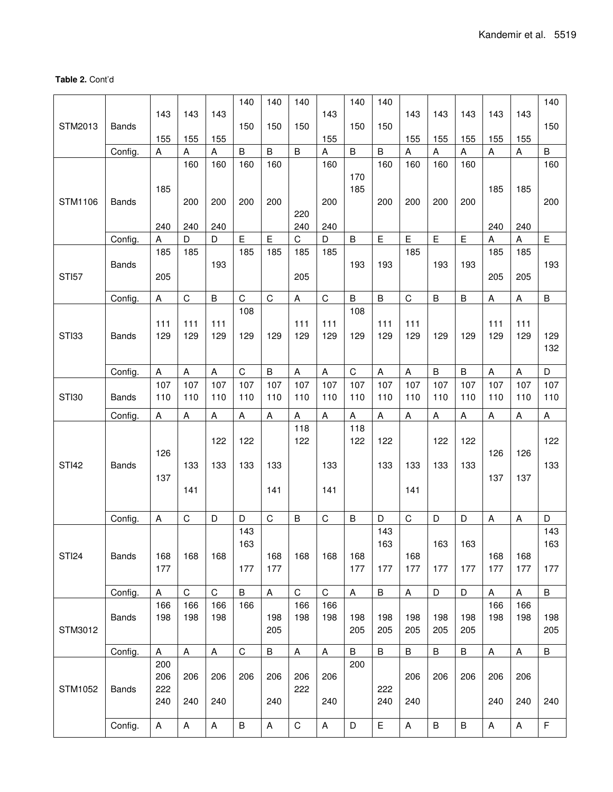### **Table 2.** Cont'd

|              |              |                                  |              |                | 140         | 140          | 140            |             | 140            | 140            |                       |                                  |                         |                           |          | 140        |
|--------------|--------------|----------------------------------|--------------|----------------|-------------|--------------|----------------|-------------|----------------|----------------|-----------------------|----------------------------------|-------------------------|---------------------------|----------|------------|
|              |              | 143                              | 143          | 143            |             |              |                | 143         |                |                | 143                   | 143                              | 143                     | 143                       | 143      |            |
| STM2013      | <b>Bands</b> |                                  |              |                | 150         | 150          | 150            |             | 150            | 150            |                       |                                  |                         |                           |          | 150        |
|              | Config.      | 155<br>$\boldsymbol{\mathsf{A}}$ | 155<br>A     | 155<br>A       | $\sf B$     | B            | $\overline{B}$ | 155<br>A    | B              | B              | 155<br>$\overline{A}$ | 155<br>$\boldsymbol{\mathsf{A}}$ | 155<br>$\boldsymbol{A}$ | 155<br>$\boldsymbol{A}$   | 155<br>A | B          |
|              |              |                                  | 160          | 160            | 160         | 160          |                | 160         |                | 160            | 160                   | 160                              | 160                     |                           |          | 160        |
|              |              |                                  |              |                |             |              |                |             | 170            |                |                       |                                  |                         |                           |          |            |
|              |              | 185                              |              |                |             |              |                |             | 185            |                |                       |                                  |                         | 185                       | 185      |            |
| STM1106      | <b>Bands</b> |                                  | 200          | 200            | 200         | 200          |                | 200         |                | 200            | 200                   | 200                              | 200                     |                           |          | 200        |
|              |              | 240                              | 240          | 240            |             |              | 220<br>240     | 240         |                |                |                       |                                  |                         | 240                       | 240      |            |
|              | Config.      | Α                                | D            | D              | E           | E            | C              | D           | $\sf B$        | $\mathsf E$    | $\mathsf E$           | E                                | $\mathsf E$             | Α                         | A        | E          |
|              |              | 185                              | 185          |                | 185         | 185          | 185            | 185         |                |                | 185                   |                                  |                         | 185                       | 185      |            |
|              | <b>Bands</b> |                                  |              | 193            |             |              |                |             | 193            | 193            |                       | 193                              | 193                     |                           |          | 193        |
| <b>STI57</b> |              | 205                              |              |                |             |              | 205            |             |                |                |                       |                                  |                         | 205                       | 205      |            |
|              | Config.      | A                                | $\mathsf C$  | $\overline{B}$ | $\mathsf C$ | $\mathsf{C}$ | A              | $\mathsf C$ | B              | $\overline{B}$ | $\mathsf C$           | $\overline{B}$                   | $\overline{B}$          | A                         | A        | B          |
|              |              |                                  |              |                | 108         |              |                |             | 108            |                |                       |                                  |                         |                           |          |            |
|              |              | 111                              | 111          | 111            |             |              | 111            | 111         |                | 111            | 111                   |                                  |                         | 111                       | 111      |            |
| STI33        | <b>Bands</b> | 129                              | 129          | 129            | 129         | 129          | 129            | 129         | 129            | 129            | 129                   | 129                              | 129                     | 129                       | 129      | 129<br>132 |
|              |              |                                  |              |                |             |              |                |             |                |                |                       |                                  |                         |                           |          |            |
|              | Config.      | A                                | A            | A              | $\mathsf C$ | $\sf B$      | $\sf A$        | A           | $\mathsf C$    | $\sf A$        | A                     | $\sf B$                          | $\sf B$                 | $\mathsf A$               | A        | D          |
|              |              | 107                              | 107          | 107            | 107         | 107          | 107            | 107         | 107            | 107            | 107                   | 107                              | 107                     | 107                       | 107      | 107        |
| <b>STI30</b> | <b>Bands</b> | 110                              | 110          | 110            | 110         | 110          | 110            | 110         | 110            | 110            | 110                   | 110                              | 110                     | 110                       | 110      | 110        |
|              | Config.      | A                                | A            | $\mathsf{A}$   | A           | A            | A              | A           | A              | A              | A                     | A                                | $\sf A$                 | A                         | A        | A          |
|              |              |                                  |              | 122            | 122         |              | 118            |             | 118<br>122     | 122            |                       | 122                              |                         |                           |          | 122        |
|              |              | 126                              |              |                |             |              | 122            |             |                |                |                       |                                  | 122                     | 126                       | 126      |            |
| <b>STI42</b> | <b>Bands</b> |                                  | 133          | 133            | 133         | 133          |                | 133         |                | 133            | 133                   | 133                              | 133                     |                           |          | 133        |
|              |              | 137                              |              |                |             |              |                |             |                |                |                       |                                  |                         | 137                       | 137      |            |
|              |              |                                  | 141          |                |             | 141          |                | 141         |                |                | 141                   |                                  |                         |                           |          |            |
|              |              |                                  | $\mathsf{C}$ |                | D           | $\mathsf{C}$ |                | $\mathsf C$ |                | D              | $\mathsf C$           |                                  |                         |                           |          |            |
|              | Config.      | A                                |              | D              | 143         |              | $\overline{B}$ |             | $\overline{B}$ | 143            |                       | D                                | D                       | $\boldsymbol{\mathsf{A}}$ | A        | D<br>143   |
|              |              |                                  |              |                | 163         |              |                |             |                | 163            |                       | 163                              | 163                     |                           |          | 163        |
| <b>STI24</b> | <b>Bands</b> | 168                              | 168          | 168            |             | 168          | 168            | 168         | 168            |                | 168                   |                                  |                         | 168                       | 168      |            |
|              |              | 177                              |              |                | 177         | 177          |                |             | 177            | 177            | 177                   | 177                              | 177                     | 177                       | 177      | 177        |
|              | Config.      | A                                | $\mathsf C$  | $\mathbf C$    | $\sf B$     | $\sf A$      | $\mathsf C$    | $\mathsf C$ | A              | $\sf B$        | $\mathsf A$           | $\mathsf D$                      | D                       | $\mathsf A$               | A        | $\sf B$    |
|              |              | 166                              | 166          | 166            | 166         |              | 166            | 166         |                |                |                       |                                  |                         | 166                       | 166      |            |
|              | <b>Bands</b> | 198                              | 198          | 198            |             | 198          | 198            | 198         | 198            | 198            | 198                   | 198                              | 198                     | 198                       | 198      | 198        |
| STM3012      |              |                                  |              |                |             | 205          |                |             | 205            | 205            | 205                   | 205                              | 205                     |                           |          | 205        |
|              | Config.      | A                                | $\sf A$      | A              | $\mathsf C$ | $\sf B$      | A              | A           | B              | $\sf B$        | $\sf B$               | $\sf B$                          | $\, {\bf B}$            | $\mathsf{A}$              | A        | $\sf B$    |
|              |              | 200                              |              |                |             |              |                |             | 200            |                |                       |                                  |                         |                           |          |            |
|              |              | 206                              | 206          | 206            | 206         | 206          | 206            | 206         |                |                | 206                   | 206                              | 206                     | 206                       | 206      |            |
| STM1052      | <b>Bands</b> | 222                              |              |                |             |              | 222            |             |                | 222            |                       |                                  |                         |                           |          |            |
|              |              | 240                              | 240          | 240            |             | 240          |                | 240         |                | 240            | 240                   |                                  |                         | 240                       | 240      | 240        |
|              | Config.      | Α                                | A            | Α              | B           | Α            | $\mathsf C$    | A           | D              | Е              | A                     | B                                | B                       | A                         | A        | F          |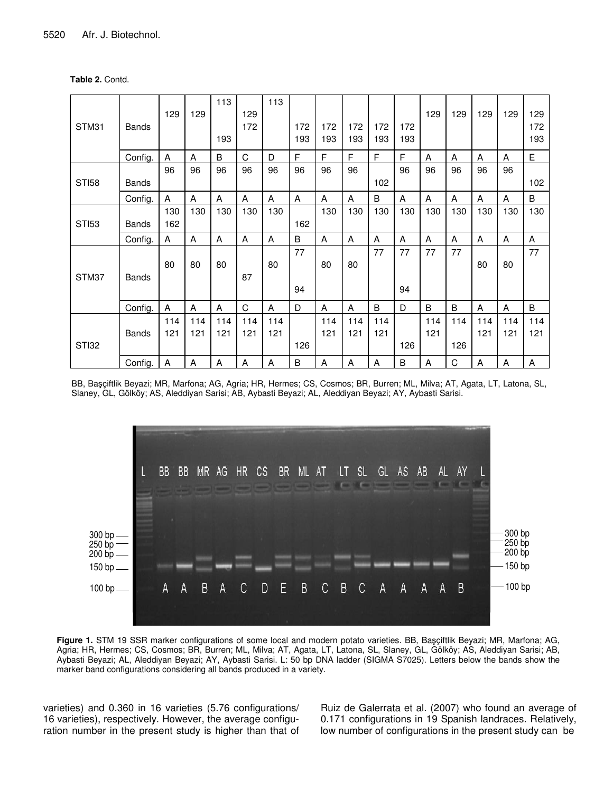| Table 2. Contd. |  |
|-----------------|--|
|-----------------|--|

|              |              |     |     | 113 |     | 113 |     |     |     |     |     |     |     |     |     |     |
|--------------|--------------|-----|-----|-----|-----|-----|-----|-----|-----|-----|-----|-----|-----|-----|-----|-----|
|              |              | 129 | 129 |     | 129 |     |     |     |     |     |     | 129 | 129 | 129 | 129 | 129 |
| STM31        | <b>Bands</b> |     |     |     | 172 |     | 172 | 172 | 172 | 172 | 172 |     |     |     |     | 172 |
|              |              |     |     | 193 |     |     | 193 | 193 | 193 | 193 | 193 |     |     |     |     | 193 |
|              | Config.      | A   | A   | B   | C   | D   | F   | F   | F   | F   | F   | A   | A   | A   | A   | E   |
|              |              | 96  | 96  | 96  | 96  | 96  | 96  | 96  | 96  |     | 96  | 96  | 96  | 96  | 96  |     |
| <b>STI58</b> | <b>Bands</b> |     |     |     |     |     |     |     |     | 102 |     |     |     |     |     | 102 |
|              | Config.      | A   | A   | A   | A   | A   | A   | A   | A   | B   | A   | A   | A   | A   | A   | B   |
|              |              | 130 | 130 | 130 | 130 | 130 |     | 130 | 130 | 130 | 130 | 130 | 130 | 130 | 130 | 130 |
| <b>STI53</b> | <b>Bands</b> | 162 |     |     |     |     | 162 |     |     |     |     |     |     |     |     |     |
|              | Config.      | Α   | A   | A   | A   | A   | B   | A   | A   | A   | A   | A   | A   | A   | Α   | A   |
|              |              |     |     |     |     |     | 77  |     |     | 77  | 77  | 77  | 77  |     |     | 77  |
|              |              | 80  | 80  | 80  |     | 80  |     | 80  | 80  |     |     |     |     | 80  | 80  |     |
| STM37        | <b>Bands</b> |     |     |     | 87  |     |     |     |     |     |     |     |     |     |     |     |
|              |              |     |     |     |     |     | 94  |     |     |     | 94  |     |     |     |     |     |
|              | Config.      | A   | A   | A   | C   | A   | D   | A   | A   | B   | D   | B   | B   | A   | A   | B   |
|              |              | 114 | 114 | 114 | 114 | 114 |     | 114 | 114 | 114 |     | 114 | 114 | 114 | 114 | 114 |
|              | <b>Bands</b> | 121 | 121 | 121 | 121 | 121 |     | 121 | 121 | 121 |     | 121 |     | 121 | 121 | 121 |
| STI32        |              |     |     |     |     |     | 126 |     |     |     | 126 |     | 126 |     |     |     |
|              | Config.      | A   | A   | A   | A   | A   | B   | A   | A   | A   | B   | Α   | C   | A   | Α   | A   |

BB, Baçiftlik Beyazi; MR, Marfona; AG, Agria; HR, Hermes; CS, Cosmos; BR, Burren; ML, Milva; AT, Agata, LT, Latona, SL, Slaney, GL, Gölköy; AS, Aleddiyan Sarisi; AB, Aybasti Beyazi; AL, Aleddiyan Beyazi; AY, Aybasti Sarisi.



Figure 1. STM 19 SSR marker configurations of some local and modern potato varieties. BB, Başçiftlik Beyazi; MR, Marfona; AG, Agria; HR, Hermes; CS, Cosmos; BR, Burren; ML, Milva; AT, Agata, LT, Latona, SL, Slaney, GL, Gölköy; AS, Aleddiyan Sarisi; AB, Aybasti Beyazi; AL, Aleddiyan Beyazi; AY, Aybasti Sarisi. L: 50 bp DNA ladder (SIGMA S7025). Letters below the bands show the marker band configurations considering all bands produced in a variety.

varieties) and 0.360 in 16 varieties (5.76 configurations/ varieties), respectively. However, the average configuration number in the present study is higher than that of Ruiz de Galerrata et al. (2007) who found an average of 0.171 configurations in 19 Spanish landraces. Relatively, low number of configurations in the present study can be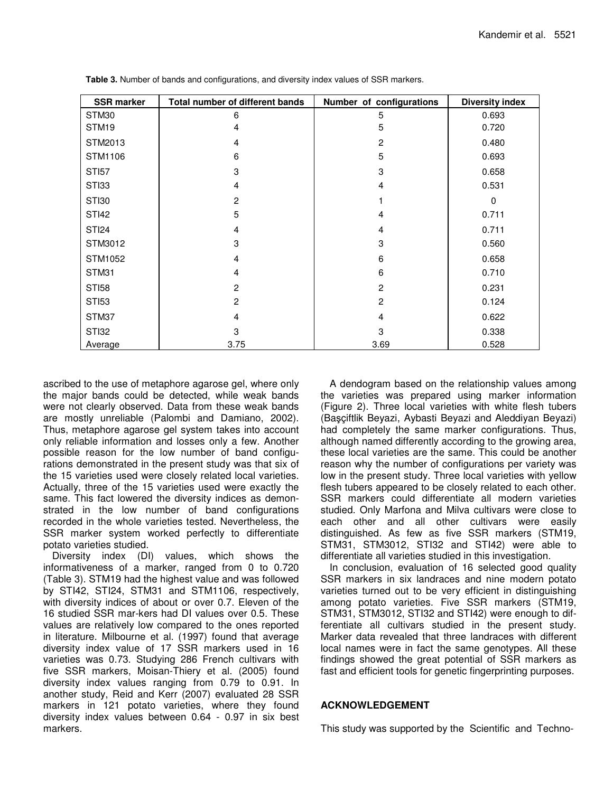| <b>SSR marker</b> | Total number of different bands | Number of configurations | <b>Diversity index</b> |
|-------------------|---------------------------------|--------------------------|------------------------|
| STM30             | 6                               | 5                        | 0.693                  |
| STM <sub>19</sub> | 4                               | 5                        | 0.720                  |
| STM2013           | $\overline{4}$                  | $\overline{c}$           | 0.480                  |
| STM1106           | 6                               | 5                        | 0.693                  |
| <b>STI57</b>      | 3                               | 3                        | 0.658                  |
| STI33             | 4                               | 4                        | 0.531                  |
| STI30             | $\overline{2}$                  |                          | $\Omega$               |
| <b>STI42</b>      | 5                               | 4                        | 0.711                  |
| <b>STI24</b>      | $\overline{4}$                  | 4                        | 0.711                  |
| STM3012           | 3                               | 3                        | 0.560                  |
| STM1052           | 4                               | 6                        | 0.658                  |
| STM31             | 4                               | 6                        | 0.710                  |
| <b>STI58</b>      | $\overline{2}$                  | $\overline{2}$           | 0.231                  |
| <b>STI53</b>      | $\overline{2}$                  | $\overline{c}$           | 0.124                  |
| STM37             | 4                               | 4                        | 0.622                  |
| STI32             | 3                               | 3                        | 0.338                  |
| Average           | 3.75                            | 3.69                     | 0.528                  |

**Table 3.** Number of bands and configurations, and diversity index values of SSR markers.

ascribed to the use of metaphore agarose gel, where only the major bands could be detected, while weak bands were not clearly observed. Data from these weak bands are mostly unreliable (Palombi and Damiano, 2002). Thus, metaphore agarose gel system takes into account only reliable information and losses only a few. Another possible reason for the low number of band configurations demonstrated in the present study was that six of the 15 varieties used were closely related local varieties. Actually, three of the 15 varieties used were exactly the same. This fact lowered the diversity indices as demonstrated in the low number of band configurations recorded in the whole varieties tested. Nevertheless, the SSR marker system worked perfectly to differentiate potato varieties studied.

Diversity index (DI) values, which shows the informativeness of a marker, ranged from 0 to 0.720 (Table 3). STM19 had the highest value and was followed by STI42, STI24, STM31 and STM1106, respectively, with diversity indices of about or over 0.7. Eleven of the 16 studied SSR mar-kers had DI values over 0.5. These values are relatively low compared to the ones reported in literature. Milbourne et al. (1997) found that average diversity index value of 17 SSR markers used in 16 varieties was 0.73. Studying 286 French cultivars with five SSR markers, Moisan-Thiery et al. (2005) found diversity index values ranging from 0.79 to 0.91. In another study, Reid and Kerr (2007) evaluated 28 SSR markers in 121 potato varieties, where they found diversity index values between 0.64 - 0.97 in six best markers.

A dendogram based on the relationship values among the varieties was prepared using marker information (Figure 2). Three local varieties with white flesh tubers (Baçiftlik Beyazi, Aybasti Beyazi and Aleddiyan Beyazi) had completely the same marker configurations. Thus, although named differently according to the growing area, these local varieties are the same. This could be another reason why the number of configurations per variety was low in the present study. Three local varieties with yellow flesh tubers appeared to be closely related to each other. SSR markers could differentiate all modern varieties studied. Only Marfona and Milva cultivars were close to each other and all other cultivars were easily distinguished. As few as five SSR markers (STM19, STM31, STM3012, STI32 and STI42) were able to differentiate all varieties studied in this investigation.

In conclusion, evaluation of 16 selected good quality SSR markers in six landraces and nine modern potato varieties turned out to be very efficient in distinguishing among potato varieties. Five SSR markers (STM19, STM31, STM3012, STI32 and STI42) were enough to differentiate all cultivars studied in the present study. Marker data revealed that three landraces with different local names were in fact the same genotypes. All these findings showed the great potential of SSR markers as fast and efficient tools for genetic fingerprinting purposes.

### **ACKNOWLEDGEMENT**

This study was supported by the Scientific and Techno-